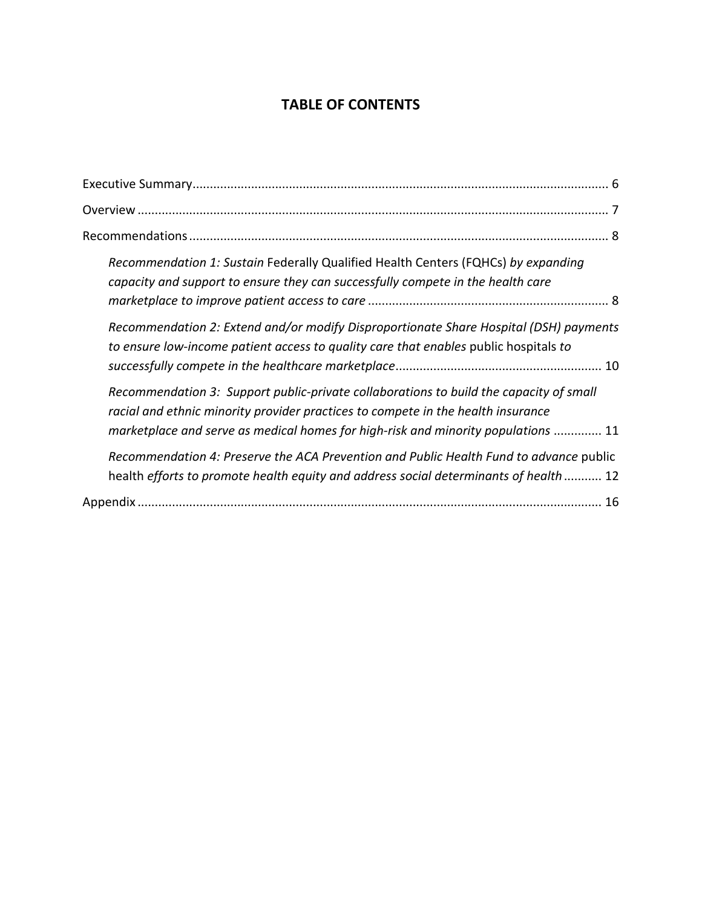# **TABLE OF CONTENTS**

| Recommendation 1: Sustain Federally Qualified Health Centers (FQHCs) by expanding<br>capacity and support to ensure they can successfully compete in the health care                                                                                            |
|-----------------------------------------------------------------------------------------------------------------------------------------------------------------------------------------------------------------------------------------------------------------|
| Recommendation 2: Extend and/or modify Disproportionate Share Hospital (DSH) payments<br>to ensure low-income patient access to quality care that enables public hospitals to                                                                                   |
| Recommendation 3: Support public-private collaborations to build the capacity of small<br>racial and ethnic minority provider practices to compete in the health insurance<br>marketplace and serve as medical homes for high-risk and minority populations  11 |
| Recommendation 4: Preserve the ACA Prevention and Public Health Fund to advance public<br>health efforts to promote health equity and address social determinants of health  12                                                                                 |
| 16                                                                                                                                                                                                                                                              |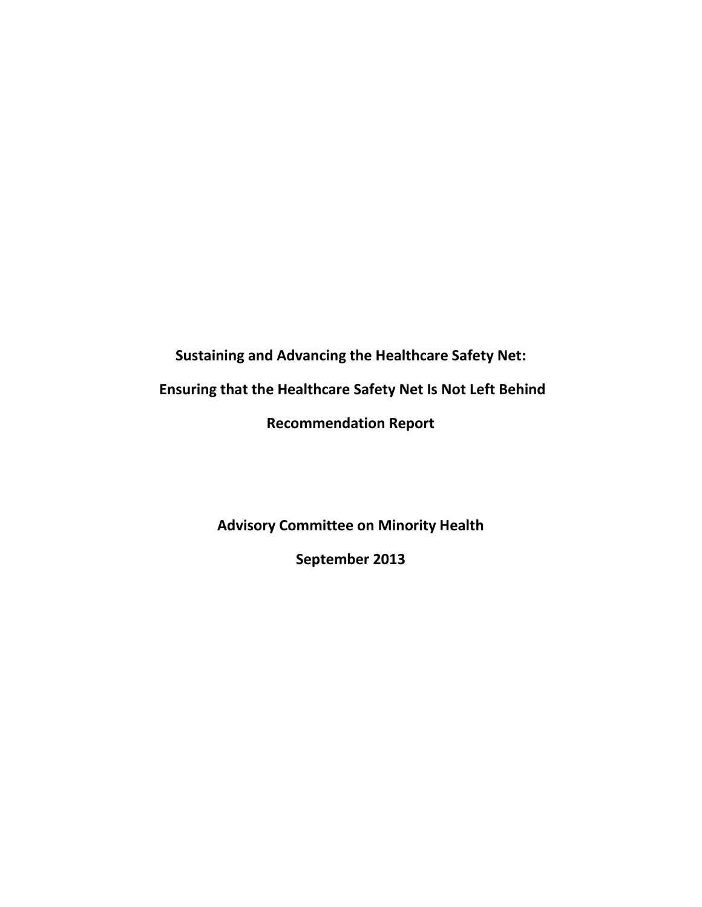**Sustaining and Advancing the Healthcare Safety Net:**

**Ensuring that the Healthcare Safety Net Is Not Left Behind** 

**Recommendation Report** 

**Advisory Committee on Minority Health**

**September 2013**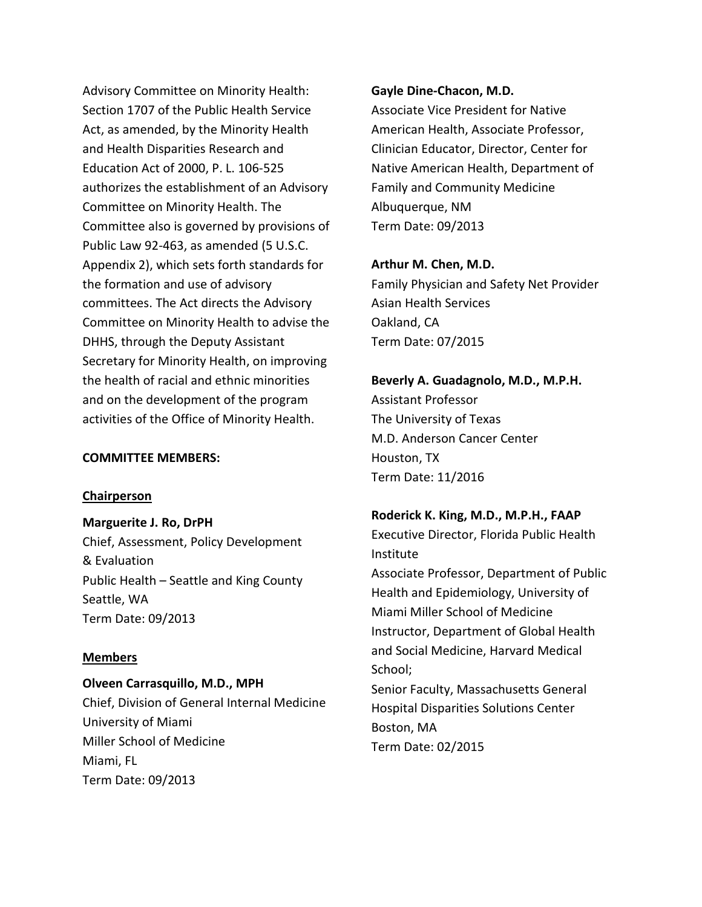Advisory Committee on Minority Health: Section 1707 of the Public Health Service Act, as amended, by the Minority Health and Health Disparities Research and Education Act of 2000, P. L. 106-525 authorizes the establishment of an Advisory Committee on Minority Health. The Committee also is governed by provisions of Public Law 92-463, as amended (5 U.S.C. Appendix 2), which sets forth standards for the formation and use of advisory committees. The Act directs the Advisory Committee on Minority Health to advise the DHHS, through the Deputy Assistant Secretary for Minority Health, on improving the health of racial and ethnic minorities and on the development of the program activities of the Office of Minority Health.

#### **COMMITTEE MEMBERS:**

#### **Chairperson**

**Marguerite J. Ro, DrPH** Chief, Assessment, Policy Development & Evaluation Public Health – Seattle and King County Seattle, WA Term Date: 09/2013

#### **Members**

### **Olveen Carrasquillo, M.D., MPH**

Chief, Division of General Internal Medicine University of Miami Miller School of Medicine Miami, FL Term Date: 09/2013

#### **Gayle Dine-Chacon, M.D.**

Associate Vice President for Native American Health, Associate Professor, Clinician Educator, Director, Center for Native American Health, Department of Family and Community Medicine Albuquerque, NM Term Date: 09/2013

#### **Arthur M. Chen, M.D.**

Family Physician and Safety Net Provider Asian Health Services Oakland, CA Term Date: 07/2015

# **Beverly A. Guadagnolo, M.D., M.P.H.**

Assistant Professor The University of Texas M.D. Anderson Cancer Center Houston, TX Term Date: 11/2016

#### **Roderick K. King, M.D., M.P.H., FAAP**

Executive Director, Florida Public Health Institute

Associate Professor, Department of Public Health and Epidemiology, University of Miami Miller School of Medicine Instructor, Department of Global Health and Social Medicine, Harvard Medical School;

Senior Faculty, Massachusetts General Hospital Disparities Solutions Center Boston, MA Term Date: 02/2015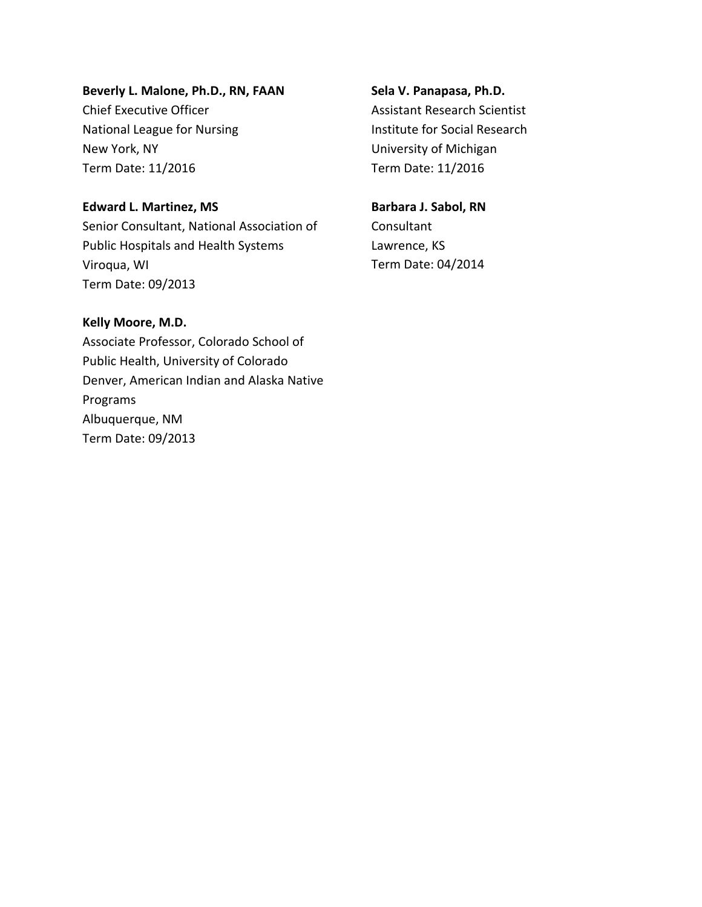#### **Beverly L. Malone, Ph.D., RN, FAAN**

Chief Executive Officer National League for Nursing New York, NY Term Date: 11/2016

#### **Edward L. Martinez, MS**

Senior Consultant, National Association of Public Hospitals and Health Systems Viroqua, WI Term Date: 09/2013

**Kelly Moore, M.D.** Associate Professor, Colorado School of Public Health, University of Colorado Denver, American Indian and Alaska Native Programs Albuquerque, NM Term Date: 09/2013

**Sela V. Panapasa, Ph.D.** Assistant Research Scientist Institute for Social Research University of Michigan Term Date: 11/2016

### **Barbara J. Sabol, RN Consultant**

Lawrence, KS Term Date: 04/2014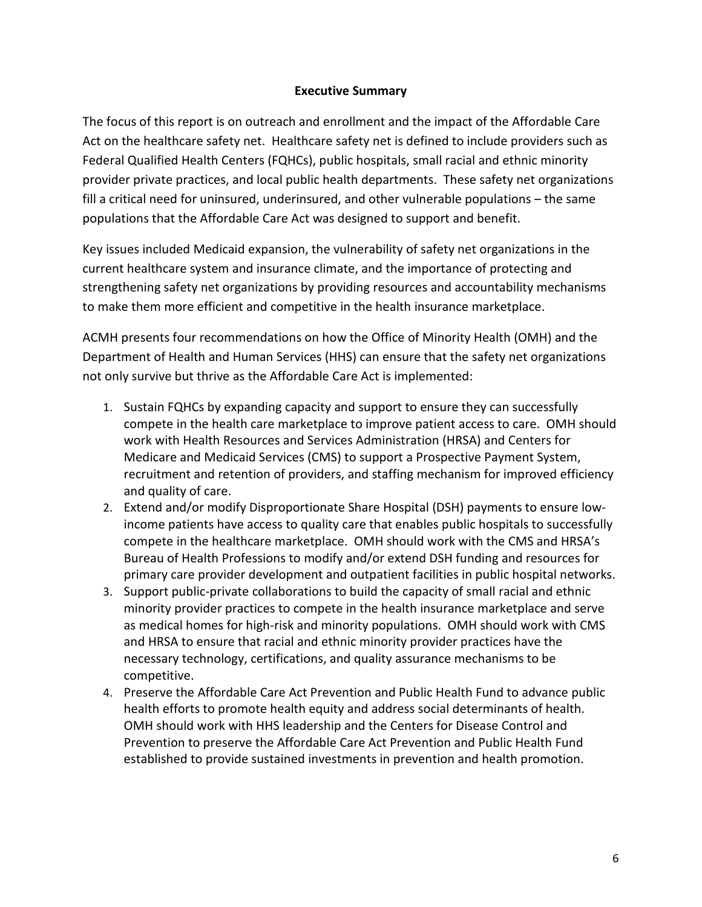#### **Executive Summary**

The focus of this report is on outreach and enrollment and the impact of the Affordable Care Act on the healthcare safety net. Healthcare safety net is defined to include providers such as Federal Qualified Health Centers (FQHCs), public hospitals, small racial and ethnic minority provider private practices, and local public health departments. These safety net organizations fill a critical need for uninsured, underinsured, and other vulnerable populations – the same populations that the Affordable Care Act was designed to support and benefit.

Key issues included Medicaid expansion, the vulnerability of safety net organizations in the current healthcare system and insurance climate, and the importance of protecting and strengthening safety net organizations by providing resources and accountability mechanisms to make them more efficient and competitive in the health insurance marketplace.

<span id="page-4-1"></span><span id="page-4-0"></span>ACMH presents four recommendations on how the Office of Minority Health (OMH) and the Department of Health and Human Services (HHS) can ensure that the safety net organizations not only survive but thrive as the Affordable Care Act is implemented:

- <span id="page-4-2"></span>1. Sustain FQHCs by expanding capacity and support to ensure they can successfully compete in the health care marketplace to improve patient access to care. OMH should work with Health Resources and Services Administration (HRSA) and Centers for Medicare and Medicaid Services (CMS) to support a Prospective Payment System, recruitment and retention of providers, and staffing mechanism for improved efficiency and quality of care.
- <span id="page-4-4"></span><span id="page-4-3"></span>2. Extend and/or modify Disproportionate Share Hospital (DSH) payments to ensure lowincome patients have access to quality care that enables public hospitals to successfully compete in the healthcare marketplace. OMH should work with the CMS and HRSA's Bureau of Health Professions to modify and/or extend DSH funding and resources for primary care provider development and outpatient facilities in public hospital networks.
- <span id="page-4-6"></span><span id="page-4-5"></span>3. Support public-private collaborations to build the capacity of small racial and ethnic minority provider practices to compete in the health insurance marketplace and serve as medical homes for high-risk and minority populations. OMH should work with CMS and HRSA to ensure that racial and ethnic minority provider practices have the necessary technology, certifications, and quality assurance mechanisms to be competitive.
- <span id="page-4-9"></span><span id="page-4-8"></span><span id="page-4-7"></span>4. Preserve the Affordable Care Act Prevention and Public Health Fund to advance public health efforts to promote health equity and address social determinants of health. OMH should work with HHS leadership and the Centers for Disease Control and Prevention to preserve the Affordable Care Act Prevention and Public Health Fund established to provide sustained investments in prevention and health promotion.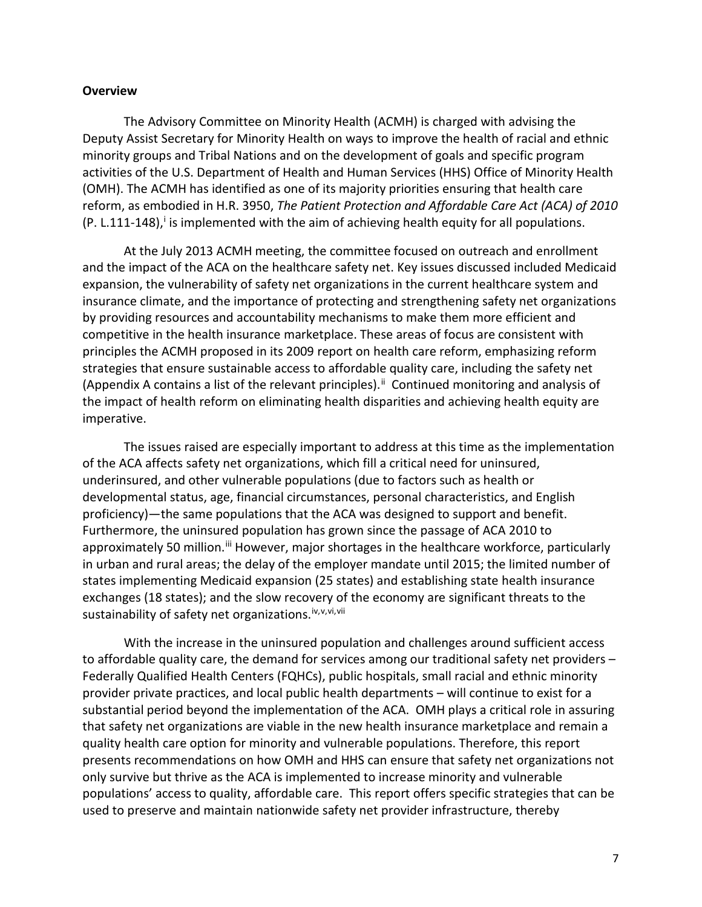#### <span id="page-5-0"></span>**Overview**

<span id="page-5-1"></span>The Advisory Committee on Minority Health (ACMH) is charged with advising the Deputy Assist Secretary for Minority Health on ways to improve the health of racial and ethnic minority groups and Tribal Nations and on the development of goals and specific program activities of the U.S. Department of Health and Human Services (HHS) Office of Minority Health (OMH). The ACMH has identified as one of its majority priorities ensuring that health care reform, as embodied in H.R. 3950, *The Patient Protection and Affordable Care Act (ACA) of 2010*  (P. L.111-148), [i](#page-4-0)s implemented with the aim of achieving health equity for all populations.

<span id="page-5-5"></span><span id="page-5-4"></span><span id="page-5-3"></span><span id="page-5-2"></span>At the July 2013 ACMH meeting, the committee focused on outreach and enrollment and the impact of the ACA on the healthcare safety net. Key issues discussed included Medicaid expansion, the vulnerability of safety net organizations in the current healthcare system and insurance climate, and the importance of protecting and strengthening safety net organizations by providing resources and accountability mechanisms to make them more efficient and competitive in the health insurance marketplace. These areas of focus are consistent with principles the ACMH proposed in its 2009 report on health care reform, emphasizing reform strategies that ensure sustainable access to affordable quality care, including the safety net (Appendix A contains a list of the relevant principles).<sup>[ii](#page-4-1)</sup> Continued monitoring and analysis of the impact of health reform on eliminating health disparities and achieving health equity are imperative.

<span id="page-5-9"></span><span id="page-5-8"></span><span id="page-5-7"></span><span id="page-5-6"></span>The issues raised are especially important to address at this time as the implementation of the ACA affects safety net organizations, which fill a critical need for uninsured, underinsured, and other vulnerable populations (due to factors such as health or developmental status, age, financial circumstances, personal characteristics, and English proficiency)—the same populations that the ACA was designed to support and benefit. Furthermore, the uninsured population has grown since the passage of ACA 2010 to approximately 50 million.<sup>[iii](#page-4-2)</sup> However, major shortages in the healthcare workforce, particularly in urban and rural areas; the delay of the employer mandate until 2015; the limited number of states implementing Medicaid expansion (25 states) and establishing state health insurance exchanges (18 states); and the slow recovery of the economy are significant threats to the sustainability of safety net organizations. [iv](#page-4-3), [v,](#page-4-4) [vi](#page-4-5), [vii](#page-4-6)

<span id="page-5-13"></span><span id="page-5-12"></span><span id="page-5-11"></span><span id="page-5-10"></span>With the increase in the uninsured population and challenges around sufficient access to affordable quality care, the demand for services among our traditional safety net providers – Federally Qualified Health Centers (FQHCs), public hospitals, small racial and ethnic minority provider private practices, and local public health departments – will continue to exist for a substantial period beyond the implementation of the ACA. OMH plays a critical role in assuring that safety net organizations are viable in the new health insurance marketplace and remain a quality health care option for minority and vulnerable populations. Therefore, this report presents recommendations on how OMH and HHS can ensure that safety net organizations not only survive but thrive as the ACA is implemented to increase minority and vulnerable populations' access to quality, affordable care. This report offers specific strategies that can be used to preserve and maintain nationwide safety net provider infrastructure, thereby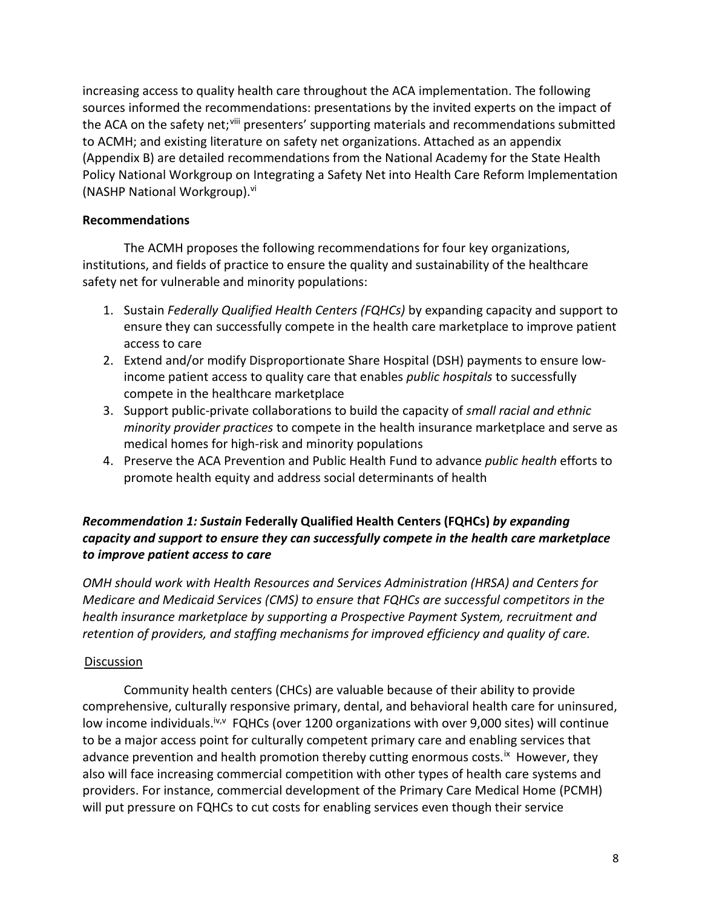increasing access to quality health care throughout the ACA implementation. The following sources informed the recommendations: presentations by the invited experts on the impact of the ACA on the safety net;<sup>[viii](#page-4-7)</sup> presenters' supporting materials and recommendations submitted to ACMH; and existing literature on safety net organizations. Attached as an appendix (Appendix B) are detailed recommendations from the National Academy for the State Health Policy National Workgroup on Integrating a Safety Net into Health Care Reform Implementation (NASHP National Workgroup). vi

### **Recommendations**

The ACMH proposes the following recommendations for four key organizations, institutions, and fields of practice to ensure the quality and sustainability of the healthcare safety net for vulnerable and minority populations:

- 1. Sustain *Federally Qualified Health Centers (FQHCs)* by expanding capacity and support to ensure they can successfully compete in the health care marketplace to improve patient access to care
- 2. Extend and/or modify Disproportionate Share Hospital (DSH) payments to ensure lowincome patient access to quality care that enables *public hospitals* to successfully compete in the healthcare marketplace
- 3. Support public-private collaborations to build the capacity of *small racial and ethnic minority provider practices* to compete in the health insurance marketplace and serve as medical homes for high-risk and minority populations
- 4. Preserve the ACA Prevention and Public Health Fund to advance *public health* efforts to promote health equity and address social determinants of health

# *Recommendation 1: Sustain* **Federally Qualified Health Centers (FQHCs)** *by expanding capacity and support to ensure they can successfully compete in the health care marketplace to improve patient access to care*

*OMH should work with Health Resources and Services Administration (HRSA) and Centers for Medicare and Medicaid Services (CMS) to ensure that FQHCs are successful competitors in the health insurance marketplace by supporting a Prospective Payment System, recruitment and retention of providers, and staffing mechanisms for improved efficiency and quality of care.*

### **Discussion**

Community health centers (CHCs) are valuable because of their ability to provide comprehensive, culturally responsive primary, dental, and behavioral health care for uninsured, low income individuals.<sup>iv, FQHCs</sup> (over 1200 organizations with over 9,000 sites) will continue to be a major access point for culturally competent primary care and enabling services that advance prevention and health promotion thereby cutting enormous costs.<sup>[ix](#page-4-8)</sup> However, they also will face increasing commercial competition with other types of health care systems and providers. For instance, commercial development of the Primary Care Medical Home (PCMH) will put pressure on FQHCs to cut costs for enabling services even though their service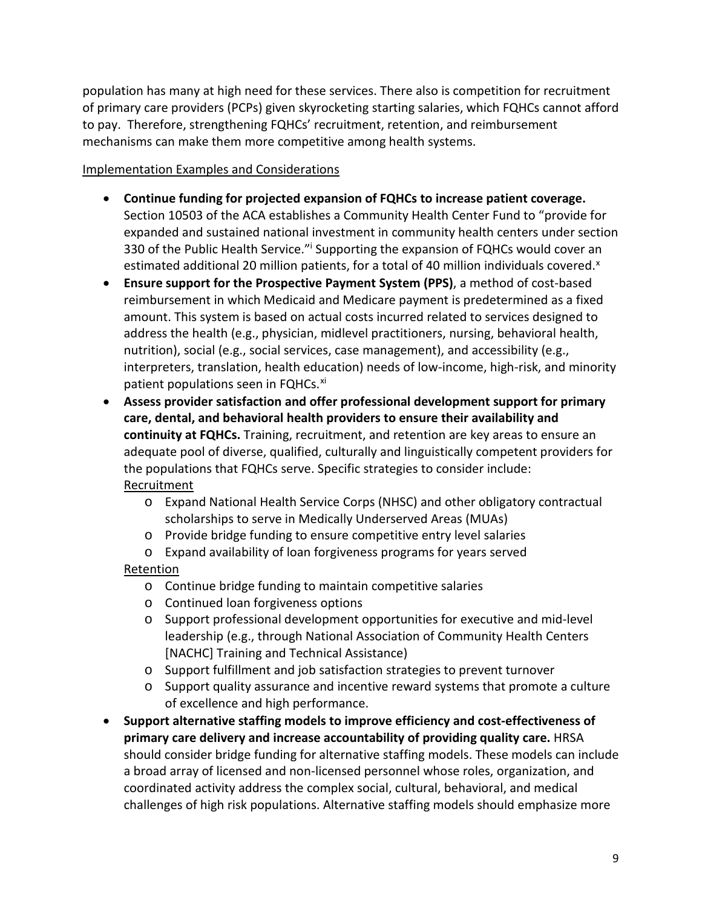population has many at high need for these services. There also is competition for recruitment of primary care providers (PCPs) given skyrocketing starting salaries, which FQHCs cannot afford to pay. Therefore, strengthening FQHCs' recruitment, retention, and reimbursement mechanisms can make them more competitive among health systems.

### Implementation Examples and Considerations

- **Continue funding for projected expansion of FQHCs to increase patient coverage.**  Section 10503 of the ACA establishes a Community Health Center Fund to "provide for expanded and sustained national investment in community health centers under section 330 of the Public Health Service." Supporting the expansion of FQHCs would cover an estimated additional 20 million patients, for a total of 40 million individuals covered.<sup>[x](#page-4-9)</sup>
- **Ensure support for the Prospective Payment System (PPS)**, a method of cost-based reimbursement in which Medicaid and Medicare payment is predetermined as a fixed amount. This system is based on actual costs incurred related to services designed to address the health (e.g., physician, midlevel practitioners, nursing, behavioral health, nutrition), social (e.g., social services, case management), and accessibility (e.g., interpreters, translation, health education) needs of low-income, high-risk, and minority patient populations seen in FQHCs.<sup>[xi](#page-5-0)</sup>
- **Assess provider satisfaction and offer professional development support for primary care, dental, and behavioral health providers to ensure their availability and continuity at FQHCs.** Training, recruitment, and retention are key areas to ensure an adequate pool of diverse, qualified, culturally and linguistically competent providers for the populations that FQHCs serve. Specific strategies to consider include: **Recruitment** 
	- o Expand National Health Service Corps (NHSC) and other obligatory contractual scholarships to serve in Medically Underserved Areas (MUAs)
	- o Provide bridge funding to ensure competitive entry level salaries
	- o Expand availability of loan forgiveness programs for years served

# Retention

- o Continue bridge funding to maintain competitive salaries
- o Continued loan forgiveness options
- o Support professional development opportunities for executive and mid-level leadership (e.g., through National Association of Community Health Centers [NACHC] Training and Technical Assistance)
- o Support fulfillment and job satisfaction strategies to prevent turnover
- o Support quality assurance and incentive reward systems that promote a culture of excellence and high performance.
- **Support alternative staffing models to improve efficiency and cost-effectiveness of primary care delivery and increase accountability of providing quality care.** HRSA should consider bridge funding for alternative staffing models. These models can include a broad array of licensed and non-licensed personnel whose roles, organization, and coordinated activity address the complex social, cultural, behavioral, and medical challenges of high risk populations. Alternative staffing models should emphasize more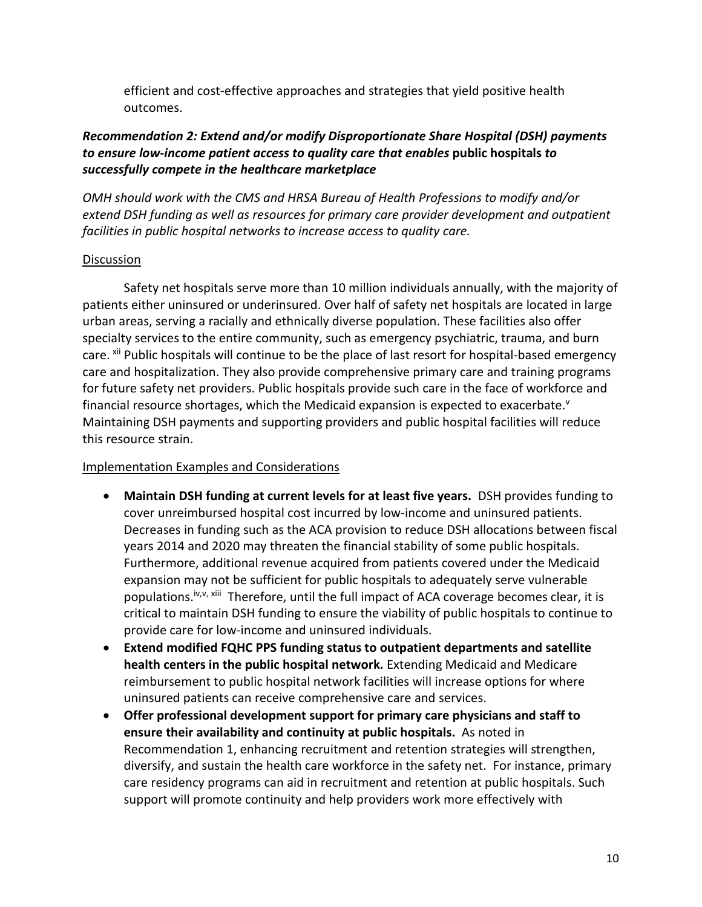efficient and cost-effective approaches and strategies that yield positive health outcomes.

# *Recommendation 2: Extend and/or modify Disproportionate Share Hospital (DSH) payments to ensure low-income patient access to quality care that enables* **public hospitals** *to successfully compete in the healthcare marketplace*

*OMH should work with the CMS and HRSA Bureau of Health Professions to modify and/or extend DSH funding as well as resources for primary care provider development and outpatient facilities in public hospital networks to increase access to quality care.* 

### **Discussion**

Safety net hospitals serve more than 10 million individuals annually, with the majority of patients either uninsured or underinsured. Over half of safety net hospitals are located in large urban areas, serving a racially and ethnically diverse population. These facilities also offer specialty services to the entire community, such as emergency psychiatric, trauma, and burn care. <sup>[xii](#page-5-1)</sup> Public hospitals will continue to be the place of last resort for hospital-based emergency care and hospitalization. They also provide comprehensive primary care and training programs for future safety net providers. Public hospitals provide such care in the face of workforce and financial resource shortages, which the Medicaid expansion is expected to exacerbate. $v$ Maintaining DSH payments and supporting providers and public hospital facilities will reduce this resource strain.

### Implementation Examples and Considerations

- **Maintain DSH funding at current levels for at least five years.** DSH provides funding to cover unreimbursed hospital cost incurred by low-income and uninsured patients. Decreases in funding such as the ACA provision to reduce DSH allocations between fiscal years 2014 and 2020 may threaten the financial stability of some public hospitals. Furthermore, additional revenue acquired from patients covered under the Medicaid expansion may not be sufficient for public hospitals to adequately serve vulnerable populations.<sup>iv,v, [xiii](#page-5-2)</sup> Therefore, until the full impact of ACA coverage becomes clear, it is critical to maintain DSH funding to ensure the viability of public hospitals to continue to provide care for low-income and uninsured individuals.
- **Extend modified FQHC PPS funding status to outpatient departments and satellite health centers in the public hospital network.** Extending Medicaid and Medicare reimbursement to public hospital network facilities will increase options for where uninsured patients can receive comprehensive care and services.
- **Offer professional development support for primary care physicians and staff to ensure their availability and continuity at public hospitals.** As noted in Recommendation 1, enhancing recruitment and retention strategies will strengthen, diversify, and sustain the health care workforce in the safety net. For instance, primary care residency programs can aid in recruitment and retention at public hospitals. Such support will promote continuity and help providers work more effectively with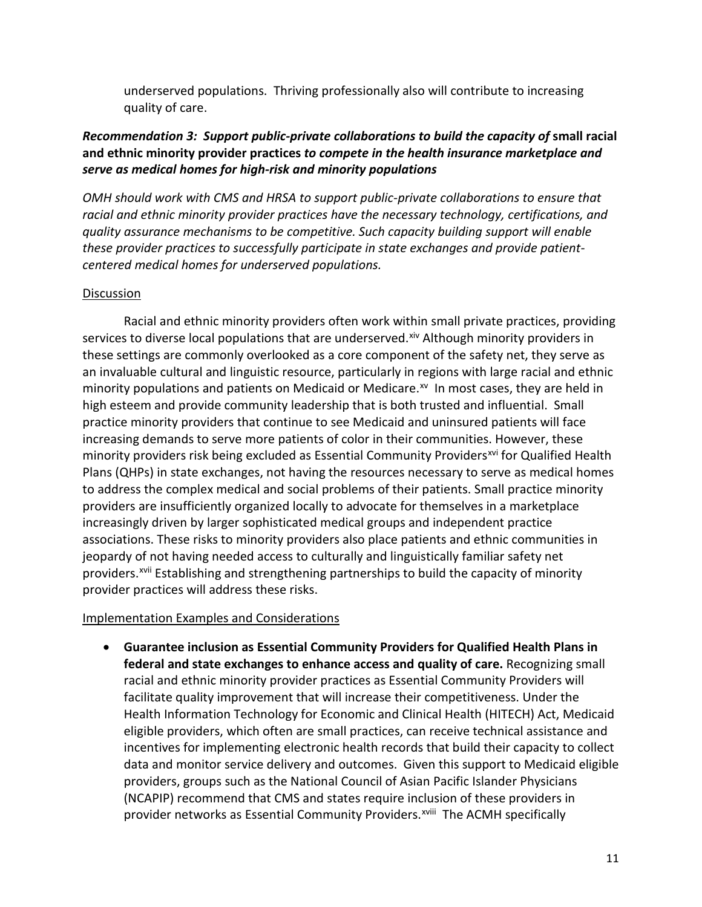underserved populations. Thriving professionally also will contribute to increasing quality of care.

## *Recommendation 3: Support public-private collaborations to build the capacity of small racial* **and ethnic minority provider practices** *to compete in the health insurance marketplace and serve as medical homes for high-risk and minority populations*

*OMH should work with CMS and HRSA to support public-private collaborations to ensure that racial and ethnic minority provider practices have the necessary technology, certifications, and quality assurance mechanisms to be competitive. Such capacity building support will enable these provider practices to successfully participate in state exchanges and provide patientcentered medical homes for underserved populations.*

#### **Discussion**

Racial and ethnic minority providers often work within small private practices, providing services to diverse local populations that are underserved.<sup>[xiv](#page-5-3)</sup> Although minority providers in these settings are commonly overlooked as a core component of the safety net, they serve as an invaluable cultural and linguistic resource, particularly in regions with large racial and ethnic minority populations and patients on Medicaid or Medicare.<sup>xv</sup> In most cases, they are held in high esteem and provide community leadership that is both trusted and influential. Small practice minority providers that continue to see Medicaid and uninsured patients will face increasing demands to serve more patients of color in their communities. However, these minority providers risk being excluded as Essential Community Providers<sup>[xvi](#page-5-5)</sup> for Qualified Health Plans (QHPs) in state exchanges, not having the resources necessary to serve as medical homes to address the complex medical and social problems of their patients. Small practice minority providers are insufficiently organized locally to advocate for themselves in a marketplace increasingly driven by larger sophisticated medical groups and independent practice associations. These risks to minority providers also place patients and ethnic communities in jeopardy of not having needed access to culturally and linguistically familiar safety net providers.<sup>[xvii](#page-5-6)</sup> Establishing and strengthening partnerships to build the capacity of minority provider practices will address these risks.

### Implementation Examples and Considerations

• **Guarantee inclusion as Essential Community Providers for Qualified Health Plans in federal and state exchanges to enhance access and quality of care.** Recognizing small racial and ethnic minority provider practices as Essential Community Providers will facilitate quality improvement that will increase their competitiveness. Under the Health Information Technology for Economic and Clinical Health (HITECH) Act, Medicaid eligible providers, which often are small practices, can receive technical assistance and incentives for implementing electronic health records that build their capacity to collect data and monitor service delivery and outcomes. Given this support to Medicaid eligible providers, groups such as the National Council of Asian Pacific Islander Physicians (NCAPIP) recommend that CMS and states require inclusion of these providers in providernetworks as Essential Community Providers.<sup>xviii</sup> The ACMH specifically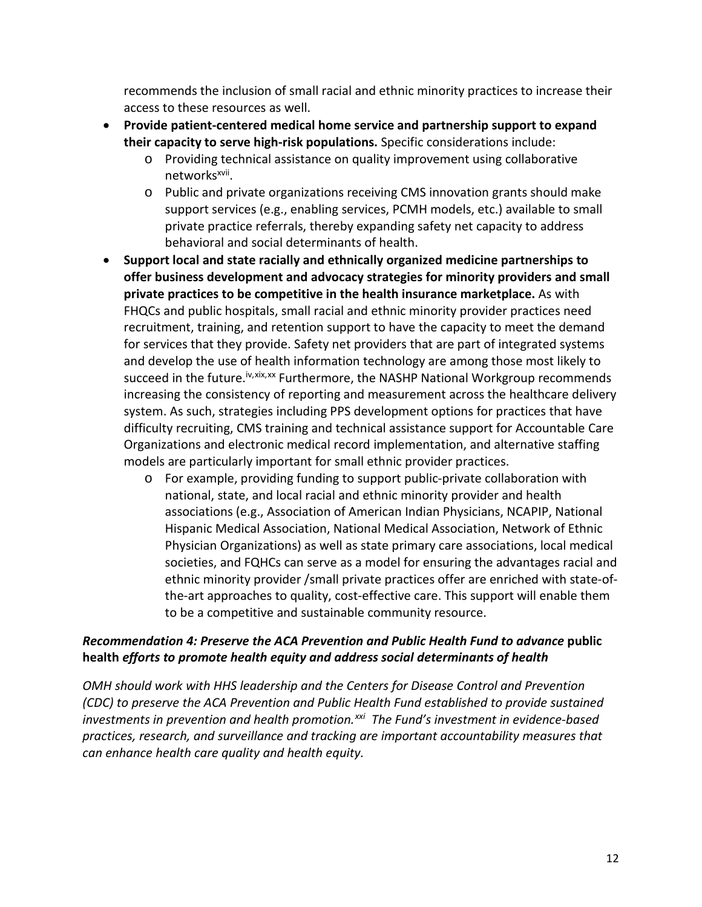recommends the inclusion of small racial and ethnic minority practices to increase their access to these resources as well.

- **Provide patient-centered medical home service and partnership support to expand their capacity to serve high-risk populations.** Specific considerations include:
	- o Providing technical assistance on quality improvement using collaborative networks<sup>xvii</sup>.
	- o Public and private organizations receiving CMS innovation grants should make support services (e.g., enabling services, PCMH models, etc.) available to small private practice referrals, thereby expanding safety net capacity to address behavioral and social determinants of health.
- **Support local and state racially and ethnically organized medicine partnerships to offer business development and advocacy strategies for minority providers and small private practices to be competitive in the health insurance marketplace.** As with FHQCs and public hospitals, small racial and ethnic minority provider practices need recruitment, training, and retention support to have the capacity to meet the demand for services that they provide. Safety net providers that are part of integrated systems and develop the use of health information technology are among those most likely to succeed in the future.<sup>iv,[xix](#page-5-8),[xx](#page-5-9)</sup> Furthermore, the NASHP National Workgroup recommends increasing the consistency of reporting and measurement across the healthcare delivery system. As such, strategies including PPS development options for practices that have difficulty recruiting, CMS training and technical assistance support for Accountable Care Organizations and electronic medical record implementation, and alternative staffing models are particularly important for small ethnic provider practices.
	- o For example, providing funding to support public-private collaboration with national, state, and local racial and ethnic minority provider and health associations (e.g., Association of American Indian Physicians, NCAPIP, National Hispanic Medical Association, National Medical Association, Network of Ethnic Physician Organizations) as well as state primary care associations, local medical societies, and FQHCs can serve as a model for ensuring the advantages racial and ethnic minority provider /small private practices offer are enriched with state-ofthe-art approaches to quality, cost-effective care. This support will enable them to be a competitive and sustainable community resource.

# *Recommendation 4: Preserve the ACA Prevention and Public Health Fund to advance* **public health** *efforts to promote health equity and address social determinants of health*

*OMH should work with HHS leadership and the Centers for Disease Control and Prevention (CDC) to preserve the ACA Prevention and Public Health Fund established to provide sustained investments in prevention and health promotion.[xxi](#page-5-10) The Fund's investment in evidence-based practices, research, and surveillance and tracking are important accountability measures that can enhance health care quality and health equity.*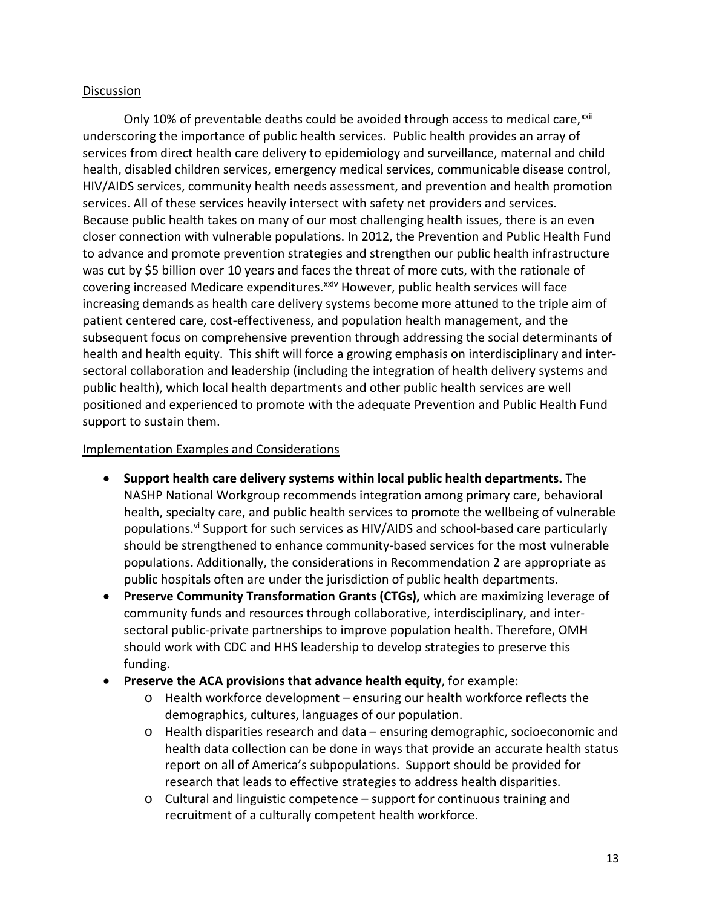### Discussion

Only 10% of preventable deaths could be avoided through access to medical care,<sup>[xxii](#page-5-11)</sup> services. All of these services heavily intersect with safety net providers and services. underscoring the importance of public health services. Public health provides an array of services from direct health care delivery to epidemiology and surveillance, maternal and child health, disabled children services, emergency medical services, communicable disease control, HIV/AIDS services, community health needs assessment, and prevention and health promotion Because public health takes on many of our most challenging health issues, there is an even closer connection with vulnerable populations. In 2012, the Prevention and Public Health Fund to advance and promote prevention strategies and strengthen our public health infrastructure was cut by \$5 billion over 10 years and faces the threat of more cuts, with the rationale of covering increased Medicare expenditures.<sup>[xxiv](#page-5-12)</sup> However, public health services will face increasing demands as health care delivery systems become more attuned to the triple aim of patient centered care, cost-effectiveness, and population health management, and the subsequent focus on comprehensive prevention through addressing the social determinants of health and health equity. This shift will force a growing emphasis on interdisciplinary and intersectoral collaboration and leadership (including the integration of health delivery systems and public health), which local health departments and other public health services are well positioned and experienced to promote with the adequate Prevention and Public Health Fund support to sustain them.

#### Implementation Examples and Considerations

- **Support health care delivery systems within local public health departments.** The NASHP National Workgroup recommends integration among primary care, behavioral health, specialty care, and public health services to promote the wellbeing of vulnerable populations.<sup>vi</sup> Support for such services as HIV/AIDS and school-based care particularly should be strengthened to enhance community-based services for the most vulnerable populations. Additionally, the considerations in Recommendation 2 are appropriate as public hospitals often are under the jurisdiction of public health departments.
- **Preserve Community Transformation Grants (CTGs),** which are maximizing leverage of community funds and resources through collaborative, interdisciplinary, and intersectoral public-private partnerships to improve population health. Therefore, OMH should work with CDC and HHS leadership to develop strategies to preserve this funding.
- **Preserve the ACA provisions that advance health equity**, for example:
	- o Health workforce development ensuring our health workforce reflects the demographics, cultures, languages of our population.
	- o Health disparities research and data ensuring demographic, socioeconomic and health data collection can be done in ways that provide an accurate health status report on all of America's subpopulations. Support should be provided for research that leads to effective strategies to address health disparities.
	- o Cultural and linguistic competence support for continuous training and recruitment of a culturally competent health workforce.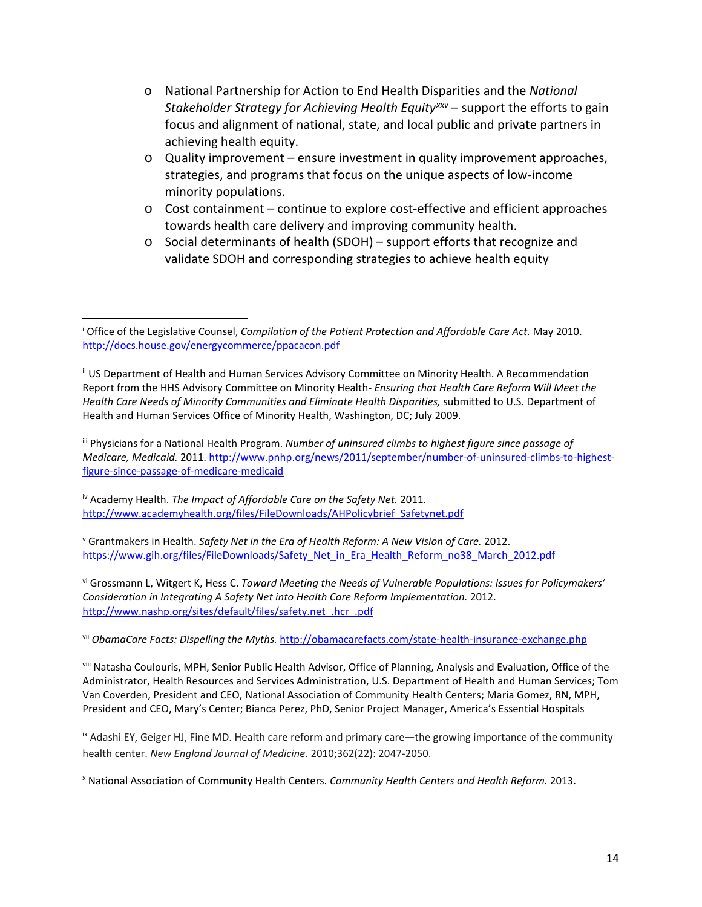- o National Partnership for Action to End Health Disparities and the *National Stakeholder Strategy for Achieving Health Equity[xxv](#page-5-13)* – support the efforts to gain focus and alignment of national, state, and local public and private partners in achieving health equity.
- $\circ$  Quality improvement ensure investment in quality improvement approaches, strategies, and programs that focus on the unique aspects of low-income minority populations.
- $\circ$  Cost containment continue to explore cost-effective and efficient approaches towards health care delivery and improving community health.
- o Social determinants of health (SDOH) support efforts that recognize and validate SDOH and corresponding strategies to achieve health equity

iii Physicians for a National Health Program. *Number of uninsured climbs to highest figure since passage of Medicare, Medicaid.* 2011[. http://www.pnhp.org/news/2011/september/number-of-uninsured-climbs-to-highest](http://www.pnhp.org/news/2011/september/number-of-uninsured-climbs-to-highest-figure-since-passage-of-medicare-medicaid)[figure-since-passage-of-medicare-medicaid](http://www.pnhp.org/news/2011/september/number-of-uninsured-climbs-to-highest-figure-since-passage-of-medicare-medicaid)

iv Academy Health. *The Impact of Affordable Care on the Safety Net.* 2011. [http://www.academyhealth.org/files/FileDownloads/AHPolicybrief\\_Safetynet.pdf](http://www.academyhealth.org/files/FileDownloads/AHPolicybrief_Safetynet.pdf) 

 $\overline{\phantom{a}}$ 

<sup>v</sup> Grantmakers in Health. *Safety Net in the Era of Health Reform: A New Vision of Care.* 2012. [https://www.gih.org/files/FileDownloads/Safety\\_Net\\_in\\_Era\\_Health\\_Reform\\_no38\\_March\\_2012.pdf](https://www.gih.org/files/FileDownloads/Safety_Net_in_Era_Health_Reform_no38_March_2012.pdf)

vi Grossmann L, Witgert K, Hess C. *Toward Meeting the Needs of Vulnerable Populations: Issues for Policymakers' Consideration in Integrating A Safety Net into Health Care Reform Implementation.* 2012. [http://www.nashp.org/sites/default/files/safety.net\\_.hcr\\_.pdf](http://www.nashp.org/sites/default/files/safety.net_.hcr_.pdf)

vii *ObamaCare Facts: Dispelling the Myths.* <http://obamacarefacts.com/state-health-insurance-exchange.php>

viii Natasha Coulouris, MPH, Senior Public Health Advisor, Office of Planning, Analysis and Evaluation, Office of the Administrator, Health Resources and Services Administration, U.S. Department of Health and Human Services; Tom Van Coverden, President and CEO, National Association of Community Health Centers; Maria Gomez, RN, MPH, President and CEO, Mary's Center; Bianca Perez, PhD, Senior Project Manager, America's Essential Hospitals

ix Adashi EY, Geiger HJ, Fine MD. Health care reform and primary care—the growing importance of the community health center. *New England Journal of Medicine.* 2010;362(22): 2047-2050.

<sup>x</sup> National Association of Community Health Centers. *Community Health Centers and Health Reform.* 2013.

<sup>&</sup>lt;sup>i</sup> Office of the Legislative Counsel, *Compilation of the Patient Protection and Affordable Care Act.* May 2010. <http://docs.house.gov/energycommerce/ppacacon.pdf>

ii US Department of Health and Human Services Advisory Committee on Minority Health. A Recommendation Report from the HHS Advisory Committee on Minority Health- *Ensuring that Health Care Reform Will Meet the Health Care Needs of Minority Communities and Eliminate Health Disparities,* submitted to U.S. Department of Health and Human Services Office of Minority Health, Washington, DC; July 2009.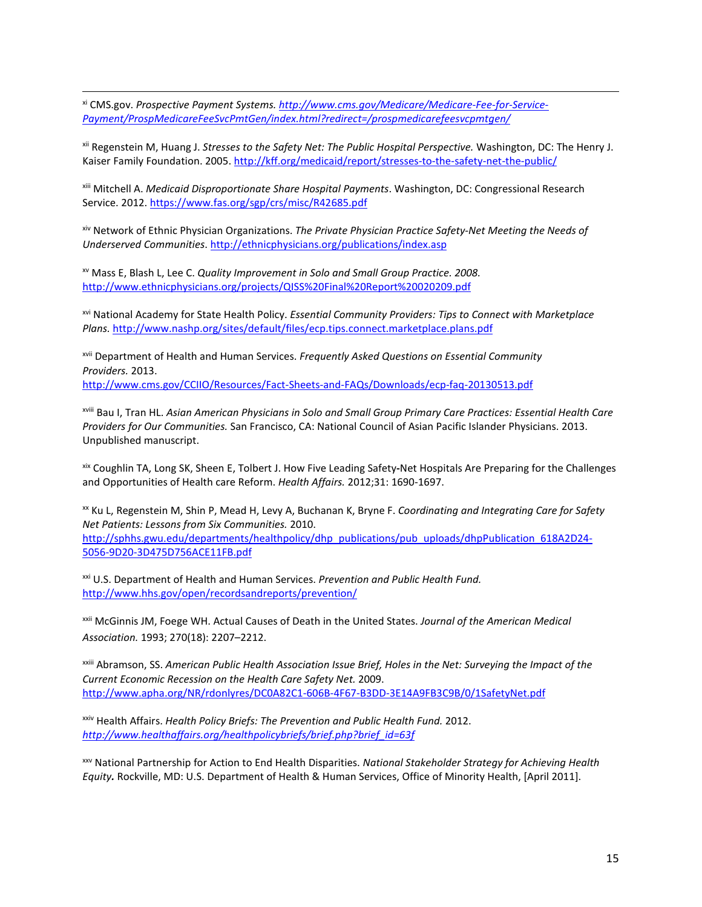xi CMS.gov. *Prospective Payment Systems[. http://www.cms.gov/Medicare/Medicare-Fee-for-Service-](http://www.cms.gov/Medicare/Medicare-Fee-for-Service-Payment/ProspMedicareFeeSvcPmtGen/index.html?redirect=/prospmedicarefeesvcpmtgen/)[Payment/ProspMedicareFeeSvcPmtGen/index.html?redirect=/prospmedicarefeesvcpmtgen/](http://www.cms.gov/Medicare/Medicare-Fee-for-Service-Payment/ProspMedicareFeeSvcPmtGen/index.html?redirect=/prospmedicarefeesvcpmtgen/)*

xii Regenstein M, Huang J. *Stresses to the Safety Net: The Public Hospital Perspective.* Washington, DC: The Henry J. Kaiser Family Foundation. 2005.<http://kff.org/medicaid/report/stresses-to-the-safety-net-the-public/>

xiii Mitchell A. *Medicaid Disproportionate Share Hospital Payments*. Washington, DC: Congressional Research Service. 2012.<https://www.fas.org/sgp/crs/misc/R42685.pdf>

xiv Network of Ethnic Physician Organizations. *The Private Physician Practice Safety-Net Meeting the Needs of Underserved Communities*[. http://ethnicphysicians.org/publications/index.asp](http://ethnicphysicians.org/publications/index.asp)

xv Mass E, Blash L, Lee C. *Quality Improvement in Solo and Small Group Practice. 2008.* <http://www.ethnicphysicians.org/projects/QISS%20Final%20Report%20020209.pdf>

 $\overline{\phantom{a}}$ 

xvi National Academy for State Health Policy. *Essential Community Providers: Tips to Connect with Marketplace Plans.* <http://www.nashp.org/sites/default/files/ecp.tips.connect.marketplace.plans.pdf>

xvii Department of Health and Human Services. *Frequently Asked Questions on Essential Community Providers.* 2013.

<http://www.cms.gov/CCIIO/Resources/Fact-Sheets-and-FAQs/Downloads/ecp-faq-20130513.pdf>

xviii Bau I, Tran HL. *Asian American Physicians in Solo and Small Group Primary Care Practices: Essential Health Care Providers for Our Communities.* San Francisco, CA: National Council of Asian Pacific Islander Physicians. 2013. Unpublished manuscript.

xix Coughlin TA, Long SK, Sheen E, Tolbert J. How Five Leading Safety**-**Net Hospitals Are Preparing for the Challenges and Opportunities of Health care Reform. *Health Affairs.* 2012;31: 1690-1697.

xx Ku L, Regenstein M, Shin P, Mead H, Levy A, Buchanan K, Bryne F. *Coordinating and Integrating Care for Safety Net Patients: Lessons from Six Communities.* 2010. [http://sphhs.gwu.edu/departments/healthpolicy/dhp\\_publications/pub\\_uploads/dhpPublication\\_618A2D24-](http://sphhs.gwu.edu/departments/healthpolicy/dhp_publications/pub_uploads/dhpPublication_618A2D24-5056-9D20-3D475D756ACE11FB.pdf) [5056-9D20-3D475D756ACE11FB.pdf](http://sphhs.gwu.edu/departments/healthpolicy/dhp_publications/pub_uploads/dhpPublication_618A2D24-5056-9D20-3D475D756ACE11FB.pdf)

xxi U.S. Department of Health and Human Services. *Prevention and Public Health Fund.*  <http://www.hhs.gov/open/recordsandreports/prevention/>

xxii McGinnis JM, Foege WH. Actual Causes of Death in the United States. *Journal of the American Medical Association.* 1993; 270(18): 2207–2212.

xxiii Abramson, SS. *American Public Health Association Issue Brief, Holes in the Net: Surveying the Impact of the Current Economic Recession on the Health Care Safety Net.* 2009. <http://www.apha.org/NR/rdonlyres/DC0A82C1-606B-4F67-B3DD-3E14A9FB3C9B/0/1SafetyNet.pdf>

xxiv Health Affairs. *Health Policy Briefs: The Prevention and Public Health Fund.* 2012. *[http://www.healthaffairs.org/healthpolicybriefs/brief.php?brief\\_id=63f](http://www.healthaffairs.org/healthpolicybriefs/brief.php?brief_id=63f)*

xxv National Partnership for Action to End Health Disparities. *National Stakeholder Strategy for Achieving Health Equity.* Rockville, MD: U.S. Department of Health & Human Services, Office of Minority Health, [April 2011].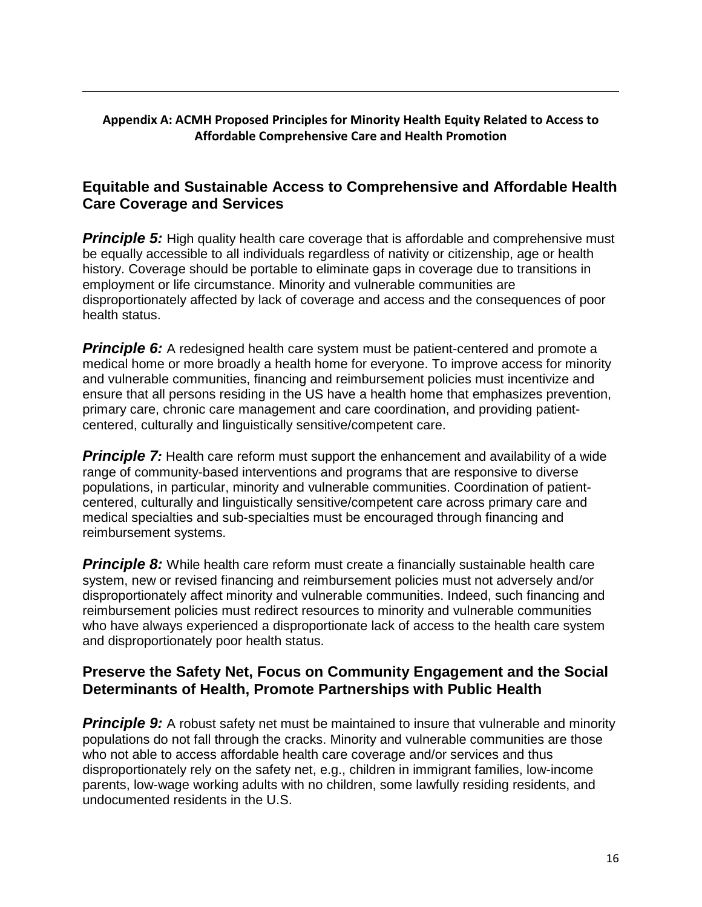### **Appendix A: ACMH Proposed Principles for Minority Health Equity Related to Access to Affordable Comprehensive Care and Health Promotion**

 $\overline{\phantom{a}}$ 

# **Equitable and Sustainable Access to Comprehensive and Affordable Health Care Coverage and Services**

**Principle 5:** High quality health care coverage that is affordable and comprehensive must be equally accessible to all individuals regardless of nativity or citizenship, age or health history. Coverage should be portable to eliminate gaps in coverage due to transitions in employment or life circumstance. Minority and vulnerable communities are disproportionately affected by lack of coverage and access and the consequences of poor health status.

**Principle 6:** A redesigned health care system must be patient-centered and promote a medical home or more broadly a health home for everyone. To improve access for minority and vulnerable communities, financing and reimbursement policies must incentivize and ensure that all persons residing in the US have a health home that emphasizes prevention, primary care, chronic care management and care coordination, and providing patientcentered, culturally and linguistically sensitive/competent care.

**Principle 7:** Health care reform must support the enhancement and availability of a wide range of community-based interventions and programs that are responsive to diverse populations, in particular, minority and vulnerable communities. Coordination of patientcentered, culturally and linguistically sensitive/competent care across primary care and medical specialties and sub-specialties must be encouraged through financing and reimbursement systems.

**Principle 8:** While health care reform must create a financially sustainable health care system, new or revised financing and reimbursement policies must not adversely and/or disproportionately affect minority and vulnerable communities. Indeed, such financing and reimbursement policies must redirect resources to minority and vulnerable communities who have always experienced a disproportionate lack of access to the health care system and disproportionately poor health status.

# **Preserve the Safety Net, Focus on Community Engagement and the Social Determinants of Health, Promote Partnerships with Public Health**

**Principle 9:** A robust safety net must be maintained to insure that vulnerable and minority populations do not fall through the cracks. Minority and vulnerable communities are those who not able to access affordable health care coverage and/or services and thus disproportionately rely on the safety net, e.g., children in immigrant families, low-income parents, low-wage working adults with no children, some lawfully residing residents, and undocumented residents in the U.S.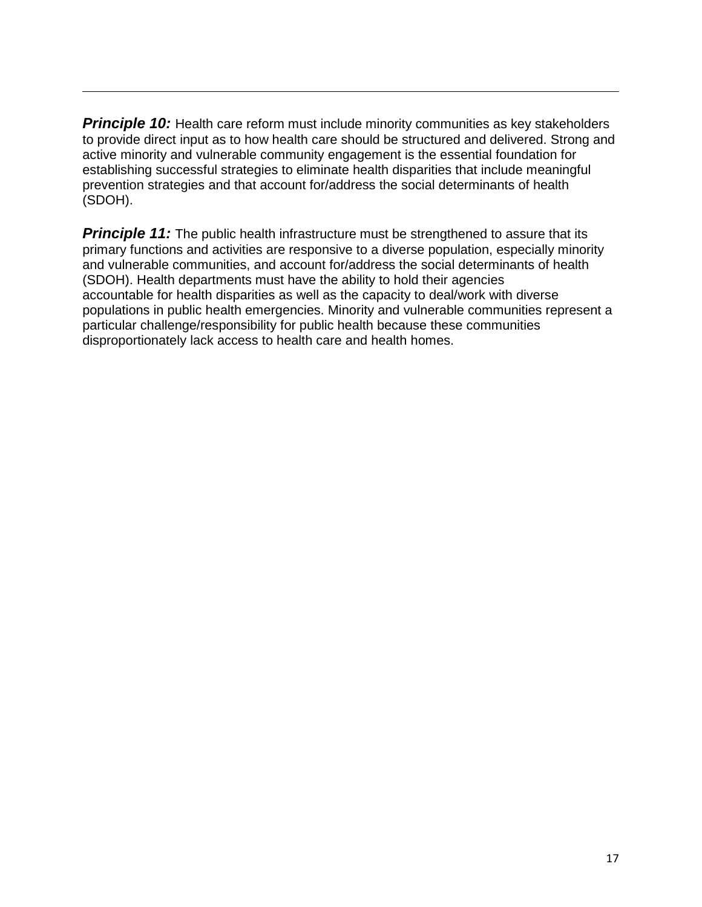**Principle 10:** Health care reform must include minority communities as key stakeholders to provide direct input as to how health care should be structured and delivered. Strong and active minority and vulnerable community engagement is the essential foundation for establishing successful strategies to eliminate health disparities that include meaningful prevention strategies and that account for/address the social determinants of health (SDOH).

 $\overline{\phantom{a}}$ 

**Principle 11:** The public health infrastructure must be strengthened to assure that its primary functions and activities are responsive to a diverse population, especially minority and vulnerable communities, and account for/address the social determinants of health (SDOH). Health departments must have the ability to hold their agencies accountable for health disparities as well as the capacity to deal/work with diverse populations in public health emergencies. Minority and vulnerable communities represent a particular challenge/responsibility for public health because these communities disproportionately lack access to health care and health homes.